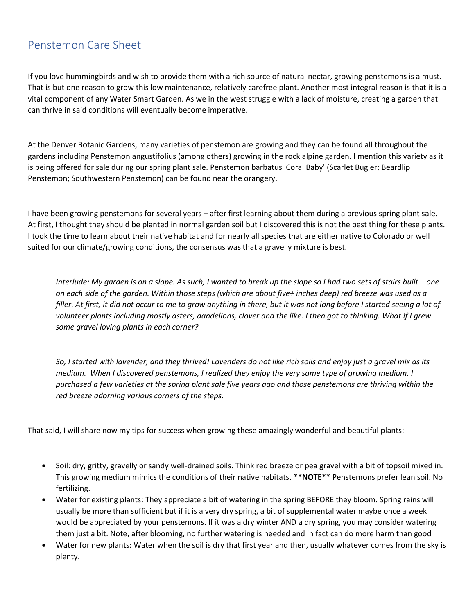## Penstemon Care Sheet

If you love hummingbirds and wish to provide them with a rich source of natural nectar, growing penstemons is a must. That is but one reason to grow this low maintenance, relatively carefree plant. Another most integral reason is that it is a vital component of any Water Smart Garden. As we in the west struggle with a lack of moisture, creating a garden that can thrive in said conditions will eventually become imperative.

At the Denver Botanic Gardens, many varieties of penstemon are growing and they can be found all throughout the gardens including Penstemon angustifolius (among others) growing in the rock alpine garden. I mention this variety as it is being offered for sale during our spring plant sale. Penstemon barbatus 'Coral Baby' (Scarlet Bugler; Beardlip Penstemon; Southwestern Penstemon) can be found near the orangery.

I have been growing penstemons for several years – after first learning about them during a previous spring plant sale. At first, I thought they should be planted in normal garden soil but I discovered this is not the best thing for these plants. I took the time to learn about their native habitat and for nearly all species that are either native to Colorado or well suited for our climate/growing conditions, the consensus was that a gravelly mixture is best.

Interlude: My garden is on a slope. As such, I wanted to break up the slope so I had two sets of stairs built – one on each side of the garden. Within those steps (which are about five+ inches deep) red breeze was used as a filler. At first, it did not occur to me to grow anything in there, but it was not long before I started seeing a lot of volunteer plants including mostly asters, dandelions, clover and the like. I then got to thinking. What if I grew some gravel loving plants in each corner?

So, I started with lavender, and they thrived! Lavenders do not like rich soils and enjoy just a gravel mix as its medium. When I discovered penstemons, I realized they enjoy the very same type of growing medium. I purchased a few varieties at the spring plant sale five years ago and those penstemons are thriving within the red breeze adorning various corners of the steps.

That said, I will share now my tips for success when growing these amazingly wonderful and beautiful plants:

- Soil: dry, gritty, gravelly or sandy well-drained soils. Think red breeze or pea gravel with a bit of topsoil mixed in. This growing medium mimics the conditions of their native habitats. \*\*NOTE\*\* Penstemons prefer lean soil. No fertilizing.
- Water for existing plants: They appreciate a bit of watering in the spring BEFORE they bloom. Spring rains will usually be more than sufficient but if it is a very dry spring, a bit of supplemental water maybe once a week would be appreciated by your penstemons. If it was a dry winter AND a dry spring, you may consider watering them just a bit. Note, after blooming, no further watering is needed and in fact can do more harm than good
- Water for new plants: Water when the soil is dry that first year and then, usually whatever comes from the sky is plenty.